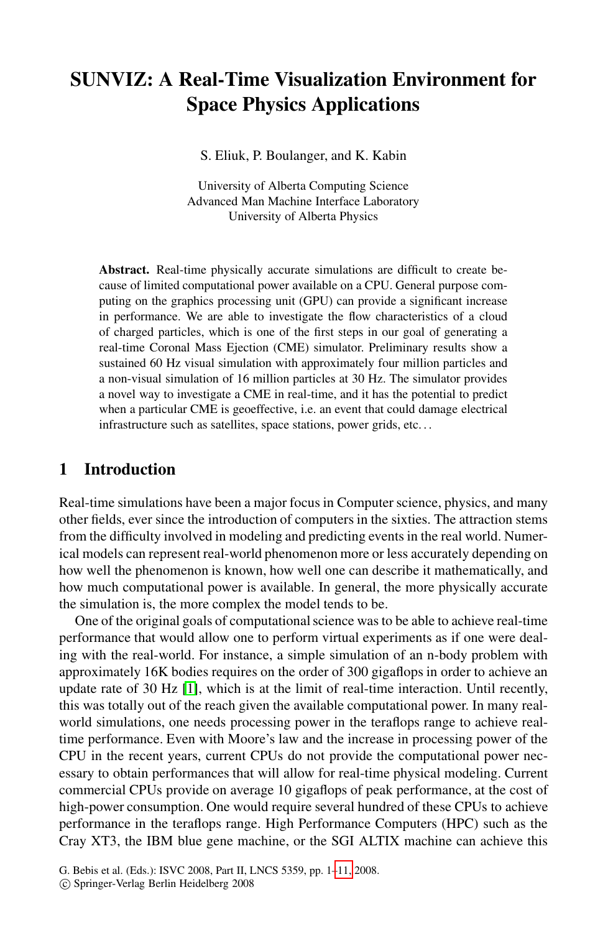# **SUNVIZ: A Real-Time Visualization Environment for Space Physics Applications**

S. Eliuk, P. Boulanger, and K. Kabin

University of Alberta Computing Science Advanced Man Machine Interface Laboratory University of Alberta Physics

**Abstract.** Real-time physically accurate simulations are difficult to create because of limited computational power available on a CPU. General purpose computing on the graphics processing unit (GPU) can provide a significant increase in performance. We are able to investigate the flow characteristics of a cloud of charged particles, which is one of the first steps in our goal of generating a real-time Coronal Mass Ejection (CME) simulator. Preliminary results show a sustained 60 Hz visual simulation with approximately four million particles and a non-visual simulation of 16 million particles at 30 Hz. The simulator provides a novel way to investigate a CME in real-time, and it has the potential to predict when a particular CME is geoeffective, i.e. an event that could damage electrical infrastructure such as satellites, space stations, power grids, etc. . .

## **1 Introduction**

Real-time simulations have been a major focus in Computer science, physics, and many other fields, ever since the introduction of computers in the sixties. The attraction stems from the difficulty involved in modeling and predicting events in the real world. Numeri[cal](#page-9-0) models can represent real-world phenomenon more or less accurately depending on how well the phenomenon is known, how well one can describe it mathematically, and how much computational power is available. In general, the more physically accurate the simulation is, the more complex the model tends to be.

One of the original goals of computational science was to be able to achieve real-time performance that would allow one to perform virtual experiments as if one were dealing with the real-world. For instance, a simple simulation of an n-body problem with approximately 16K bodies requires on the order of 300 gigaflops in order to achieve an update rate of 30 Hz [1], which is at the limit of real-time interaction. Until recently, this was totally out of the reach given the available computational power. In many realworld simulations, one needs processing power in the teraflops range to achieve realtime performance. Even wit[h M](#page-10-0)oore's law and the increase in processing power of the CPU in the recent years, current CPUs do not provide the computational power necessary to obtain performances that will allow for real-time physical modeling. Current commercial CPUs provide on average 10 gigaflops of peak performance, at the cost of high-power consumption. One would require several hundred of these CPUs to achieve performance in the teraflops range. High Performance Computers (HPC) such as the Cray XT3, the IBM blue gene machine, or the SGI ALTIX machine can achieve this

G. Bebis et al. (Eds.): ISVC 2008, Part II, LNCS 5359, pp. 1–11, 2008.

<sup>-</sup>c Springer-Verlag Berlin Heidelberg 2008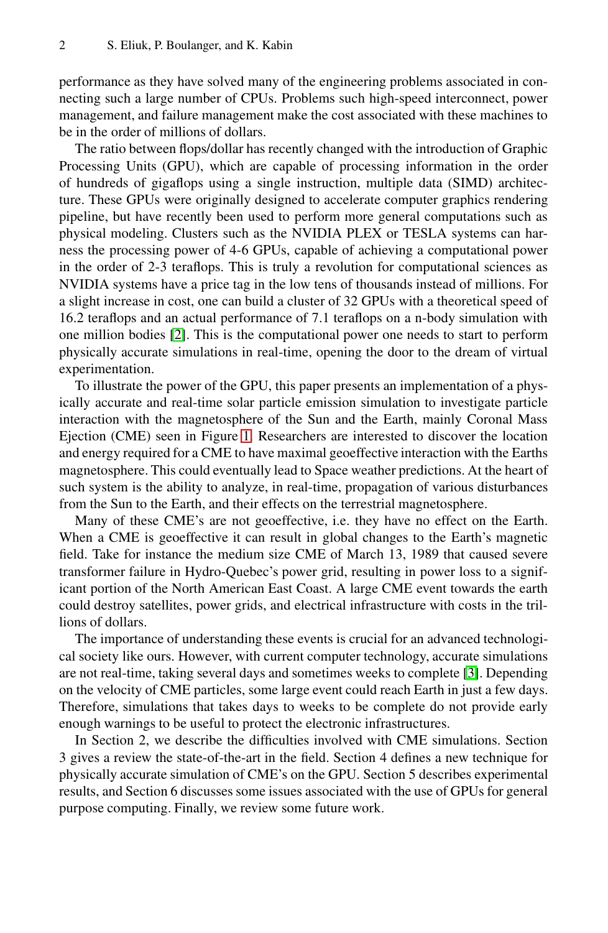#### 2 S. Eliuk, P. Boulanger, and K. Kabin

performance as they have solved many of the engineering problems associated in connecting such a large number of CPUs. Problems such high-speed interconnect, power management, and failure management make the cost associated with these machines to be in the order of millions of dollars.

The ratio between flops/dollar has recently changed with the introduction of Graphic Processing Units (GPU), which are capable of processing information in the order of hundreds of gigaflops using a single instruction, multiple data (SIMD) architec[tu](#page-9-1)re. These GPUs were originally designed to accelerate computer graphics rendering pipeline, but have recently been used to perform more general computations such as physical modeling. Clusters such as the NVIDIA PLEX or TESLA systems can harness the processing power of 4-6 GPUs, capable of achieving a computational power in the order of 2-3 teraflops. This is truly a revolution for computational sciences as NVIDIA systems have a price tag in the low tens of thousands instead of millions. For a slight inc[rea](#page-2-0)se in cost, one can build a cluster of 32 GPUs with a theoretical speed of 16.2 teraflops and an actual performance of 7.1 teraflops on a n-body simulation with one million bodies [2]. This is the computational power one needs to start to perform physically accurate simulations in real-time, opening the door to the dream of virtual experimentation.

To illustrate the power of the GPU, this paper presents an implementation of a physically accurate and real-time solar particle emission simulation to investigate particle interaction with the magnetosphere of the Sun and the Earth, mainly Coronal Mass Ejection (CME) seen in Figure 1. Researchers are interested to discover the location and energy required for a CME to have maximal geoeffective interaction with the Earths magnetosphere. This could eventually lead to Space weather predictions. At the heart of such system is the ability to analyze, in real-time, propagation of various disturbances from the Sun to the Earth, and their effects on the terrestrial magnetosphere.

Many of these CME's are not geoeffective, i.e. they have no effect on the Earth. When a CME is geoeffective it can result in glob[al](#page-9-2) changes to the Earth's magnetic field. Take for instance the medium size CME of March 13, 1989 that caused severe transformer failure in Hydro-Quebec's power grid, resulting in power loss to a significant portion of the North American East Coast. A large CME event towards the earth could destroy satellites, power grids, and electrical infrastructure with costs in the trillions of dollars.

The importance of understanding these events is crucial for an advanced technological society like ours. However, with current computer technology, accurate simulations are not real-time, taking several days and sometimes weeks to complete [3]. Depending on the velocity of CME particles, some large event could reach Earth in just a few days. Therefore, simulations that takes days to weeks to be complete do not provide early enough warnings to be useful to protect the electronic infrastructures.

In Section 2, we describe the difficulties involved with CME simulations. Section 3 gives a review the state-of-the-art in the field. Section 4 defines a new technique for physically accurate simulation of CME's on the GPU. Section 5 describes experimental results, and Section 6 discusses some issues associated with the use of GPUs for general purpose computing. Finally, we review some future work.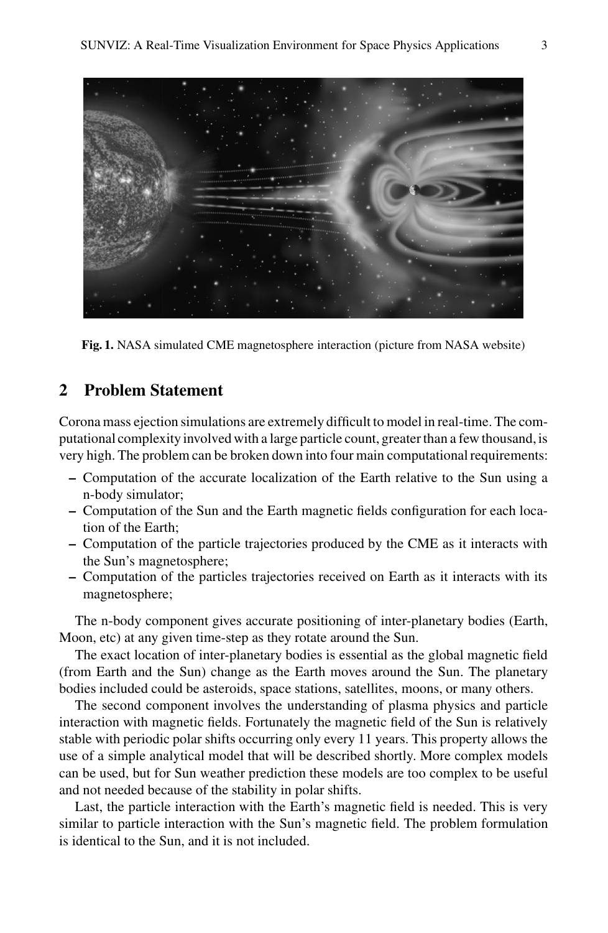

**Fig. 1.** NASA simulated CME magnetosphere interaction (picture from NASA website)

# <span id="page-2-0"></span>**2 Problem Statement**

Corona mass ejection simulations are extremely difficult to model in real-time. The computational complexity involved with a large particle count, greater than a few thousand, is very high. The problem can be broken down into four main computational requirements:

- **–** Computation of the accurate localization of the Earth relative to the Sun using a n-body simulator;
- **–** Computation of the Sun and the Earth magnetic fields configuration for each location of the Earth;
- **–** Computation of the particle trajectories produced by the CME as it interacts with the Sun's magnetosphere;
- **–** Computation of the particles trajectories received on Earth as it interacts with its magnetosphere;

The n-body component gives accurate positioning of inter-planetary bodies (Earth, Moon, etc) at any given time-step as they rotate around the Sun.

The exact location of inter-planetary bodies is essential as the global magnetic field (from Earth and the Sun) change as the Earth moves around the Sun. The planetary bodies included could be asteroids, space stations, satellites, moons, or many others.

The second component involves the understanding of plasma physics and particle interaction with magnetic fields. Fortunately the magnetic field of the Sun is relatively stable with periodic polar shifts occurring only every 11 years. This property allows the use of a simple analytical model that will be described shortly. More complex models can be used, but for Sun weather prediction these models are too complex to be useful and not needed because of the stability in polar shifts.

Last, the particle interaction with the Earth's magnetic field is needed. This is very similar to particle interaction with the Sun's magnetic field. The problem formulation is identical to the Sun, and it is not included.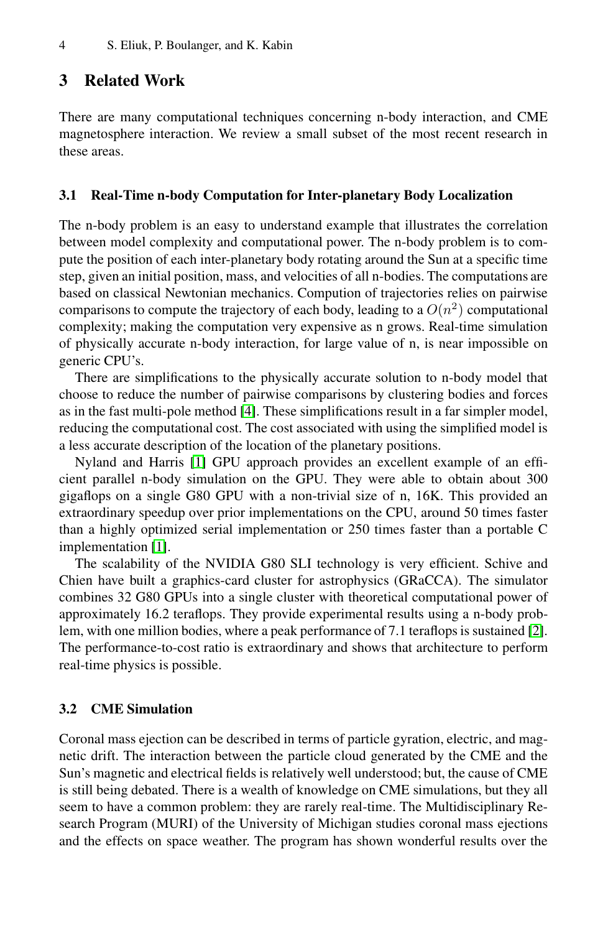## **3 Related Work**

There are many computational techniques concerning n-body interaction, and CME magnetosphere interaction. We review a small subset of the most recent research in these areas.

#### **3.1 Real-Time n-body Computation for Inter-planetary Body Localization**

The n-body problem is an easy to understand example that illustrates the correlation between model complexity and computational power. The n-body problem is to compute the position of each inter-planetary body rotating around the Sun at a specific time step, given [an](#page-9-3) initial position, mass, and velocities of all n-bodies. The computations are based on classical Newtonian mechanics. Compution of trajectories relies on pairwise comparisons to compute the trajectory of each body, leading to a  $O(n^2)$  computational co[mp](#page-9-0)lexity; making the computation very expensive as n grows. Real-time simulation of physically accurate n-body interaction, for large value of n, is near impossible on generic CPU's.

There are simplifications to the physically accurate solution to n-body model that choose to reduce the number of pairwise comparisons by clustering bodies and forces as in the fast multi-pole method [4]. These simplifications result in a far simpler model, reducing the computational cost. The cost associated with using the simplified model is a less accurate description of the location of the planetary positions.

Nyland and Harris [1] GPU approach provides an excellent example of an efficient parallel n-body simulation on the GPU. They were able to obtain about 300 gigaflops on a single G80 GPU with a non-trivial size of n, [16](#page-9-1)K. This provided an extraordinary speedup over prior implementations on the CPU, around 50 times faster than a highly optimized serial implementation or 250 times faster than a portable C implementation [1].

The scalability of the NVIDIA G80 SLI technology is very efficient. Schive and Chien have built a graphics-card cluster for astrophysics (GRaCCA). The simulator combines 32 G80 GPUs into a single cluster with theoretical computational power of approximately 16.2 teraflops. They provide experimental results using a n-body problem, with one million bodies, where a peak performance of 7.1 teraflops is sustained [2]. The performance-to-cost ratio is extraordinary and shows that architecture to perform real-time physics is possible.

### **3.2 CME Simulation**

Coronal mass ejection can be described in terms of particle gyration, electric, and magnetic drift. The interaction between the particle cloud generated by the CME and the Sun's magnetic and electrical fields is relatively well understood; but, the cause of CME is still being debated. There is a wealth of knowledge on CME simulations, but they all seem to have a common problem: they are rarely real-time. The Multidisciplinary Research Program (MURI) of the University of Michigan studies coronal mass ejections and the effects on space weather. The program has shown wonderful results over the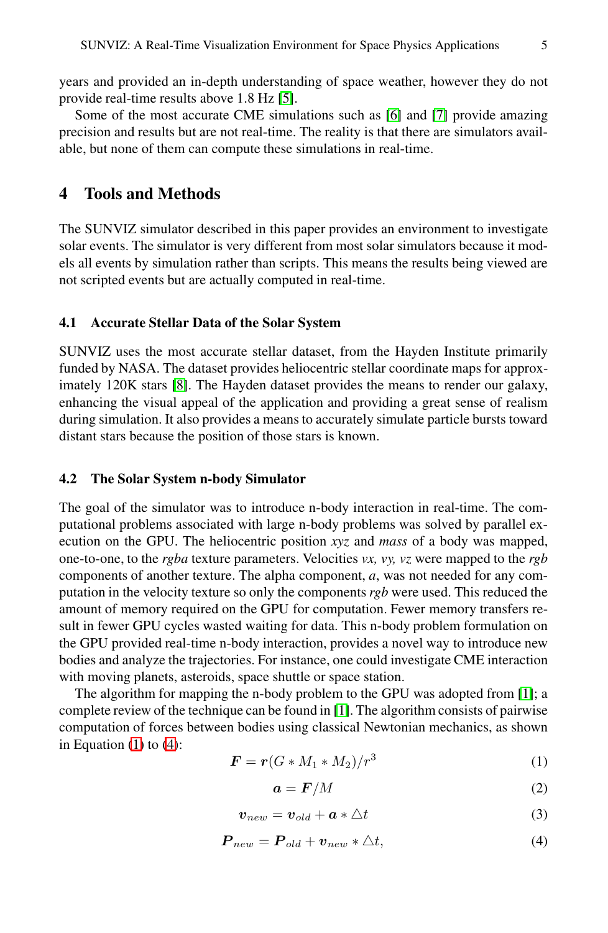years and provided an in-depth understanding of space weather, however they do not provide real-time results above 1.8 Hz [5].

Some of the most accurate CME simulations such as [6] and [7] provide amazing precision and results but are not real-time. The reality is that there are simulators available, but none of them can compute these simulations in real-time.

## **4 Tools and Methods**

The SUNVIZ simulator described in this paper provides an environment to investigate [so](#page-10-1)lar events. The simulator is very different from most solar simulators because it models all events by simulation rather than scripts. This means the results being viewed are not scripted events but are actually computed in real-time.

## **4.1 Accurate Stellar Data of the Solar System**

SUNVIZ uses the most accurate stellar dataset, from the Hayden Institute primarily funded by NASA. The dataset provides heliocentric stellar coordinate maps for approximately 120K stars [8]. The Hayden dataset provides the means to render our galaxy, enhancing the visual appeal of the application and providing a great sense of realism during simulation. It also provides a means to accurately simulate particle bursts toward distant stars because the position of those stars is known.

### **4.2 The Solar System n-body Simulator**

The goal of the simulator was to introduce n-body interaction in real-time. The computational problems associated with large n-body problems was solved by parallel execution on the GPU. The heliocentric position *xyz* and *mass* of a body was mapped, one-to-one, to the *rgba* texture parameters. Velocities *vx, vy, [vz](#page-9-0)* were mapped to the *rgb* components of another text[ure](#page-9-0). The alpha component, *a*, was not needed for any computation in the velocity texture so only the components *rgb* were used. This reduced the amount of memory required on the GPU for computation. Fewer memory transfers result in fewer GPU cycles wasted waiting for data. This n-body problem formulation on the GPU provided real-time n-body interaction, provides a novel way to introduce new bodies and analyze the trajectories. For instance, one could investigate CME interaction with moving planets, asteroids, space shuttle or space station.

The algorithm for mapping the n-body problem to the GPU was adopted from [1]; a complete review of the technique can be found in [1]. The algorithm consists of pairwise computation of forces between bodies using classical Newtonian mechanics, as shown in Equation  $(1)$  to  $(4)$ :

$$
\boldsymbol{F} = \boldsymbol{r}(G \ast M_1 \ast M_2)/r^3 \tag{1}
$$

$$
a = F/M \tag{2}
$$

$$
\boldsymbol{v}_{new} = \boldsymbol{v}_{old} + \boldsymbol{a} * \triangle t \tag{3}
$$

$$
P_{new} = P_{old} + v_{new} * \triangle t, \qquad (4)
$$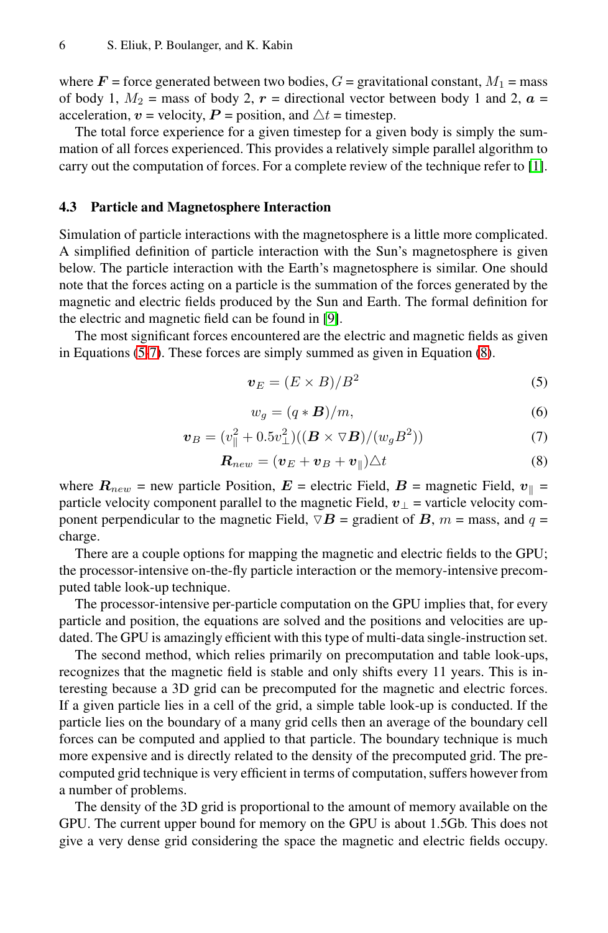where  $\mathbf{F}$  = force generated between two bodies,  $G$  = gravitational constant,  $M_1$  = mass of body 1,  $M_2$  = mass of body 2,  $r$  = directional vector between body 1 and 2,  $a$  = acceleration,  $v =$  velocity,  $P =$  position, and  $\triangle t =$  timestep.

The total force experience for a given timestep for a given body is simply the summation of all forces experienced. This provides a relatively simple parallel algorithm to carry out the computation of forces. For a complete review of the technique refer to [1].

#### **4.3 Particle and Magnetosphere Interaction**

<span id="page-5-1"></span>Simulation of particle interactions with the magnetos[phe](#page-5-0)re is a little more complicated. A simplified definition of particle interaction with the Sun's magnetosphere is given below. The particle interaction with the Earth's magnetosphere is similar. One should note that the forces acting on a particle is the summation of the forces generated by the magnetic and electric fields produced by the Sun and Earth. The formal definition for the electric and magnetic field can be found in [9].

<span id="page-5-0"></span>The most significant forces encountered are the electric and magnetic fields as given in Equations (5-7). These forces are simply summed as given in Equation (8).

$$
v_E = (E \times B)/B^2 \tag{5}
$$

$$
w_g = (q * \mathbf{B})/m,\tag{6}
$$

$$
\boldsymbol{v}_B = (v_{\parallel}^2 + 0.5v_{\perp}^2)((\boldsymbol{B} \times \nabla \boldsymbol{B})/(w_g B^2))
$$
 (7)

$$
\boldsymbol{R}_{new} = (\boldsymbol{v}_E + \boldsymbol{v}_B + \boldsymbol{v}_{\parallel}) \triangle t \tag{8}
$$

where  $R_{new}$  = new particle Position,  $E$  = electric Field,  $B$  = magnetic Field,  $v_{\parallel}$  = particle velocity component parallel to the magnetic Field,  $v_{\perp}$  = varticle velocity component perpendicular to the magnetic Field,  $\nabla \mathbf{B}$  = gradient of  $\mathbf{B}$ ,  $m$  = mass, and  $q$  = charge.

There are a couple options for mapping the magnetic and electric fields to the GPU; the processor-intensive on-the-fly particle interaction or the memory-intensive precomputed table look-up technique.

The processor-intensive per-particle computation on the GPU implies that, for every particle and position, the equations are solved and the positions and velocities are updated. The GPU is amazingly efficient with this type of multi-data single-instruction set.

The second method, which relies primarily on precomputation and table look-ups, recognizes that the magnetic field is stable and only shifts every 11 years. This is interesting because a 3D grid can be precomputed for the magnetic and electric forces. If a given particle lies in a cell of the grid, a simple table look-up is conducted. If the particle lies on the boundary of a many grid cells then an average of the boundary cell forces can be computed and applied to that particle. The boundary technique is much more expensive and is directly related to the density of the precomputed grid. The precomputed grid technique is very efficient in terms of computation, suffers however from a number of problems.

The density of the 3D grid is proportional to the amount of memory available on the GPU. The current upper bound for memory on the GPU is about 1.5Gb. This does not give a very dense grid considering the space the magnetic and electric fields occupy.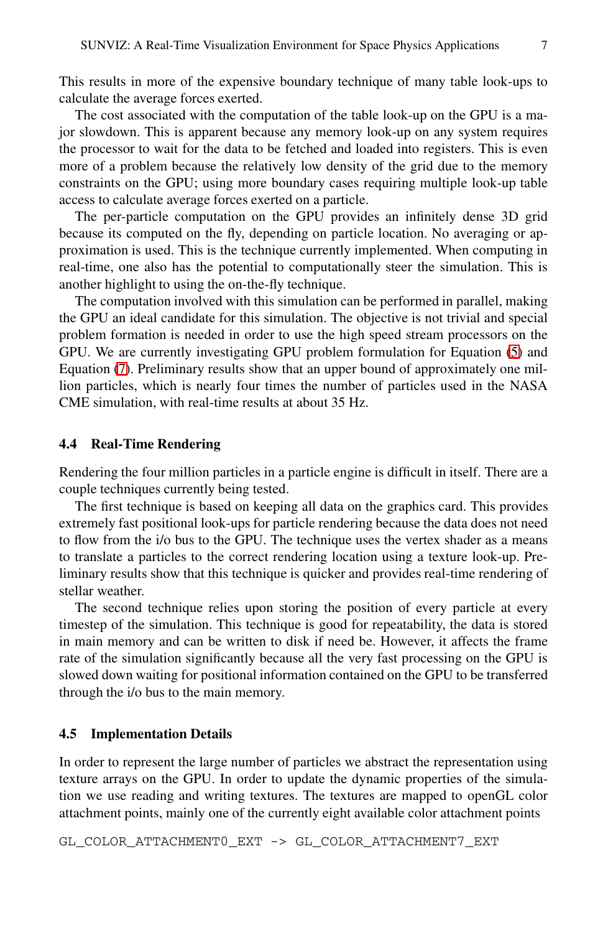This results in more of the expensive boundary technique of many table look-ups to calculate the average forces exerted.

The cost associated with the computation of the table look-up on the GPU is a major slowdown. This is apparent because any memory look-up on any system requires the processor to wait for the data to be fetched and loaded into registers. This is even more of a problem because the relatively low density of the grid due to the memory constraints on the GPU; using more boundary cases requiring multiple look-up table access to calculate average forces exerted on a particle.

The per-particle computation on the GPU provides a[n](#page-5-1) infinitely dense 3D grid because its computed on the fly, depending on particle location. No averaging or approximation is used. This is the technique currently implemented. When computing in real-time, one also has the potential to computationally steer the simulation. This is another highlight to using the on-the-fly technique.

The computation involved with this simulation can be performed in parallel, making the GPU an ideal candidate for this simulation. The objective is not trivial and special problem formation is needed in order to use the high speed stream processors on the GPU. We are currently investigating GPU problem formulation for Equation (5) and Equation (7). Preliminary results show that an upper bound of approximately one million particles, which is nearly four times the number of particles used in the NASA CME simulation, with real-time results at about 35 Hz.

#### **4.4 Real-Time Rendering**

Rendering the four million particles in a particle engine is difficult in itself. There are a couple techniques currently being tested.

The first technique is based on keeping all data on the graphics card. This provides extremely fast positional look-ups for particle rendering because the data does not need to flow from the i/o bus to the GPU. The technique uses the vertex shader as a means to translate a particles to the correct rendering location using a texture look-up. Preliminary results show that this technique is quicker and provides real-time rendering of stellar weather.

The second technique relies upon storing the position of every particle at every timestep of the simulation. This technique is good for repeatability, the data is stored in main memory and can be written to disk if need be. However, it affects the frame rate of the simulation significantly because all the very fast processing on the GPU is slowed down waiting for positional information contained on the GPU to be transferred through the i/o bus to the main memory.

#### **4.5 Implementation Details**

In order to represent the large number of particles we abstract the representation using texture arrays on the GPU. In order to update the dynamic properties of the simulation we use reading and writing textures. The textures are mapped to openGL color attachment points, mainly one of the currently eight available color attachment points

GL\_COLOR\_ATTACHMENT0\_EXT -> GL\_COLOR\_ATTACHMENT7\_EXT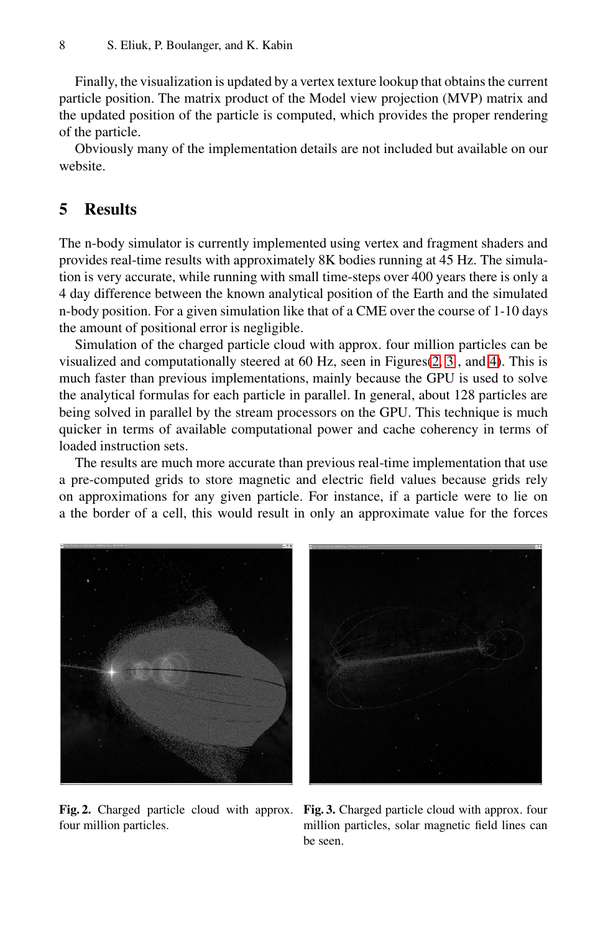#### 8 S. Eliuk, P. Boulanger, and K. Kabin

Finally, the visualization is updated by a vertex texture lookup that obtains the current particle position. The matrix product of the Model view projection (MVP) matrix and the updated position of the particle is computed, which provides the proper rendering of the particle.

Obviously many of the implementation details are not included but available on our website.

## **5 Results**

The n-body simulator is currently implement[ed](#page-7-0) [us](#page-7-1)ing v[er](#page-8-0)tex and fragment shaders and provides real-time results with approximately 8K bodies running at 45 Hz. The simulation is very accurate, while running with small time-steps over 400 years there is only a 4 day difference between the known analytical position of the Earth and the simulated n-body position. For a given simulation like that of a CME over the course of 1-10 days the amount of positional error is negligible.

Simulation of the charged particle cloud with approx. four million particles can be visualized and computationally steered at 60 Hz, seen in Figures(2, 3 , and 4). This is much faster than previous implementations, mainly because the GPU is used to solve the analytical formulas for each particle in parallel. In general, about 128 particles are being solved in parallel by the stream processors on the GPU. This technique is much quicker in terms of available computational power and cache coherency in terms of loaded instruction sets.

The results are much more accurate than previous real-time implementation that use a pre-computed grids to store magnetic and electric field values because grids rely on approximations for any given particle. For instance, if a particle were to lie on a the border of a cell, this would result in only an approximate value for the forces



<span id="page-7-0"></span>four million particles.

<span id="page-7-1"></span>**Fig. 2.** Charged particle cloud with approx. **Fig. 3.** Charged particle cloud with approx. four million particles, solar magnetic field lines can be seen.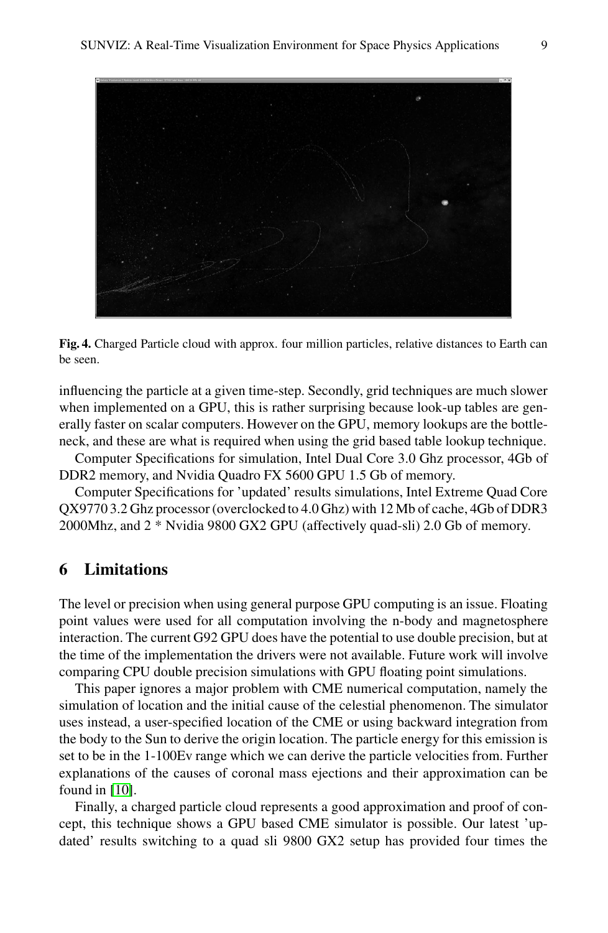

<span id="page-8-0"></span>**Fig. 4.** Charged Particle cloud with approx. four million particles, relative distances to Earth can be seen.

influencing the particle at a given time-step. Secondly, grid techniques are much slower when implemented on a GPU, this is rather surprising because look-up tables are generally faster on scalar computers. However on the GPU, memory lookups are the bottleneck, and these are what is required when using the grid based table lookup technique.

Computer Specifications for simulation, Intel Dual Core 3.0 Ghz processor, 4Gb of DDR2 memory, and Nvidia Quadro FX 5600 GPU 1.5 Gb of memory.

Computer Specifications for 'updated' results simulations, Intel Extreme Quad Core QX9770 3.2 Ghz processor (overclocked to 4.0 Ghz) with 12 Mb of cache, 4Gb of DDR3 2000Mhz, and 2 \* Nvidia 9800 GX2 GPU (affectively quad-sli) 2.0 Gb of memory.

## **6 Limitations**

The level or precision when using general purpose GPU computing is an issue. Floating point values were used for all computation involving the n-body and magnetosphere interaction. The current G92 GPU does have the potential to use double precision, but at the time of the implementation the drivers were not available. Future work will involve comparing CPU double precision simulations with GPU floating point simulations.

This paper ignores a major problem with CME numerical computation, namely the simulation of location and the initial cause of the celestial phenomenon. The simulator uses instead, a user-specified location of the CME or using backward integration from the body to the Sun to derive the origin location. The particle energy for this emission is set to be in the 1-100Ev range which we can derive the particle velocities from. Further explanations of the causes of coronal mass ejections and their approximation can be found in [10].

Finally, a charged particle cloud represents a good approximation and proof of concept, this technique shows a GPU based CME simulator is possible. Our latest 'updated' results switching to a quad sli 9800 GX2 setup has provided four times the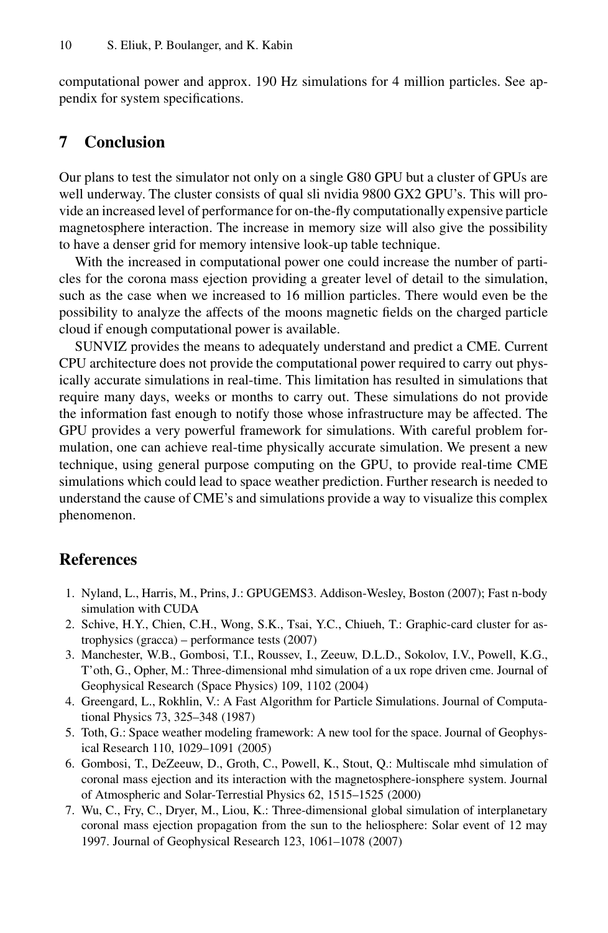computational power and approx. 190 Hz simulations for 4 million particles. See appendix for system specifications.

## **7 Conclusion**

Our plans to test the simulator not only on a single G80 GPU but a cluster of GPUs are well underway. The cluster consists of qual sli nvidia 9800 GX2 GPU's. This will provide an increased level of performance for on-the-fly computationally expensive particle magnetosphere interaction. The increase in memory size will also give the possibility to have a denser grid for memory intensive look-up table technique.

With the increased in computational power one could increase the number of particles for the corona mass ejection providing a greater level of detail to the simulation, such as the case when we increased to 16 million particles. There would even be the possibility to analyze the affects of the moons magnetic fields on the charged particle cloud if enough computational power is available.

SUNVIZ provides the means to adequately understand and predict a CME. Current CPU architecture does not provide the computational power required to carry out physically accurate simulations in real-time. This limitation has resulted in simulations that require many days, weeks or months to carry out. These simulations do not provide the information fast enough to notify those whose infrastructure may be affected. The GPU provides a very powerful framework for simulations. With careful problem formulation, one can achieve real-time physically accurate simulation. We present a new technique, using general purpose computing on the GPU, to provide real-time CME simulations which could lead to space weather prediction. Further research is needed to understand the cause of CME's and simulations provide a way to visualize this complex phenomenon.

## <span id="page-9-0"></span>**References**

- 1. Nyland, L., Harris, M., Prins, J.: GPUGEMS3. Addison-Wesley, Boston (2007); Fast n-body simulation with CUDA
- <span id="page-9-1"></span>2. Schive, H.Y., Chien, C.H., Wong, S.K., Tsai, Y.C., Chiueh, T.: Graphic-card cluster for astrophysics (gracca) – performance tests (2007)
- <span id="page-9-2"></span>3. Manchester, W.B., Gombosi, T.I., Roussev, I., Zeeuw, D.L.D., Sokolov, I.V., Powell, K.G., T'oth, G., Opher, M.: Three-dimensional mhd simulation of a ux rope driven cme. Journal of Geophysical Research (Space Physics) 109, 1102 (2004)
- <span id="page-9-3"></span>4. Greengard, L., Rokhlin, V.: A Fast Algorithm for Particle Simulations. Journal of Computational Physics 73, 325–348 (1987)
- 5. Toth, G.: Space weather modeling framework: A new tool for the space. Journal of Geophysical Research 110, 1029–1091 (2005)
- 6. Gombosi, T., DeZeeuw, D., Groth, C., Powell, K., Stout, Q.: Multiscale mhd simulation of coronal mass ejection and its interaction with the magnetosphere-ionsphere system. Journal of Atmospheric and Solar-Terrestial Physics 62, 1515–1525 (2000)
- 7. Wu, C., Fry, C., Dryer, M., Liou, K.: Three-dimensional global simulation of interplanetary coronal mass ejection propagation from the sun to the heliosphere: Solar event of 12 may 1997. Journal of Geophysical Research 123, 1061–1078 (2007)